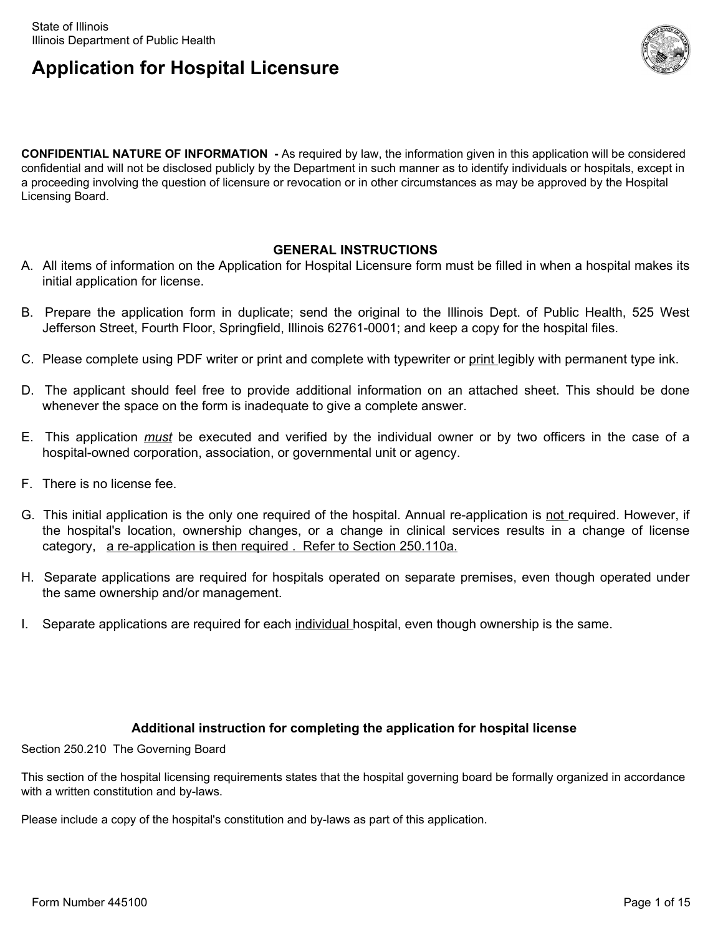

**CONFIDENTIAL NATURE OF INFORMATION -** As required by law, the information given in this application will be considered confidential and will not be disclosed publicly by the Department in such manner as to identify individuals or hospitals, except in a proceeding involving the question of licensure or revocation or in other circumstances as may be approved by the Hospital Licensing Board.

#### **GENERAL INSTRUCTIONS**

- A. All items of information on the Application for Hospital Licensure form must be filled in when a hospital makes its initial application for license.
- B. Prepare the application form in duplicate; send the original to the Illinois Dept. of Public Health, 525 West Jefferson Street, Fourth Floor, Springfield, Illinois 62761-0001; and keep a copy for the hospital files.
- C. Please complete using PDF writer or print and complete with typewriter or print legibly with permanent type ink.
- D. The applicant should feel free to provide additional information on an attached sheet. This should be done whenever the space on the form is inadequate to give a complete answer.
- E. This application *must* be executed and verified by the individual owner or by two officers in the case of a hospital-owned corporation, association, or governmental unit or agency.
- F. There is no license fee.
- G. This initial application is the only one required of the hospital. Annual re-application is not required. However, if the hospital's location, ownership changes, or a change in clinical services results in a change of license category, a re-application is then required . Refer to Section 250.110a.
- H. Separate applications are required for hospitals operated on separate premises, even though operated under the same ownership and/or management.
- I. Separate applications are required for each individual hospital, even though ownership is the same.

#### **Additional instruction for completing the application for hospital license**

Section 250.210 The Governing Board

This section of the hospital licensing requirements states that the hospital governing board be formally organized in accordance with a written constitution and by-laws.

Please include a copy of the hospital's constitution and by-laws as part of this application.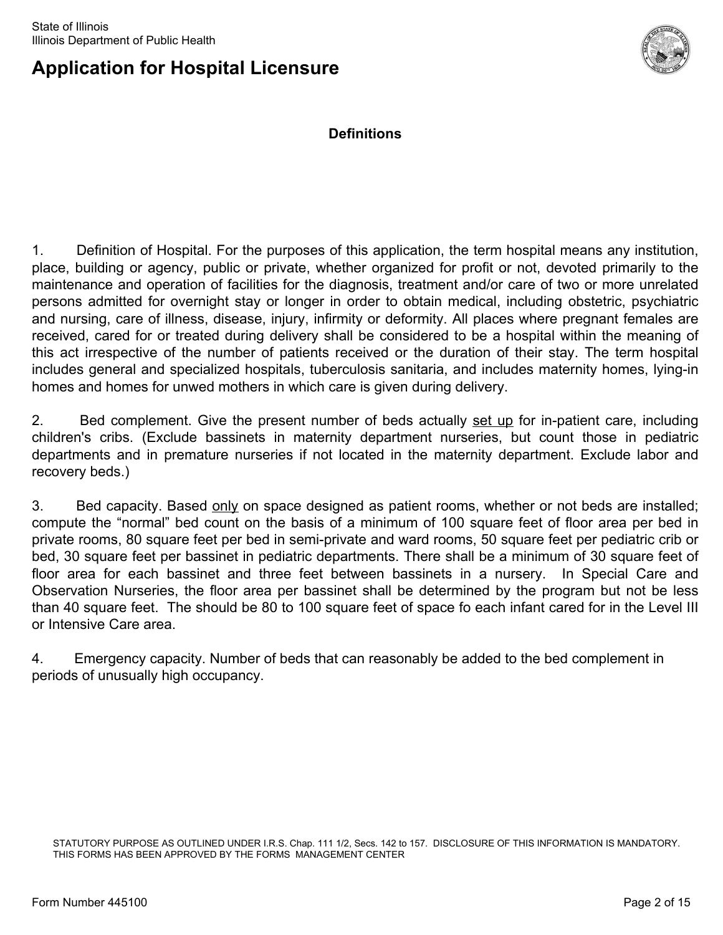

**Definitions**

1. Definition of Hospital. For the purposes of this application, the term hospital means any institution, place, building or agency, public or private, whether organized for profit or not, devoted primarily to the maintenance and operation of facilities for the diagnosis, treatment and/or care of two or more unrelated persons admitted for overnight stay or longer in order to obtain medical, including obstetric, psychiatric and nursing, care of illness, disease, injury, infirmity or deformity. All places where pregnant females are received, cared for or treated during delivery shall be considered to be a hospital within the meaning of this act irrespective of the number of patients received or the duration of their stay. The term hospital includes general and specialized hospitals, tuberculosis sanitaria, and includes maternity homes, lying-in homes and homes for unwed mothers in which care is given during delivery.

2. Bed complement. Give the present number of beds actually set up for in-patient care, including children's cribs. (Exclude bassinets in maternity department nurseries, but count those in pediatric departments and in premature nurseries if not located in the maternity department. Exclude labor and recovery beds.)

3. Bed capacity. Based only on space designed as patient rooms, whether or not beds are installed; compute the "normal" bed count on the basis of a minimum of 100 square feet of floor area per bed in private rooms, 80 square feet per bed in semi-private and ward rooms, 50 square feet per pediatric crib or bed, 30 square feet per bassinet in pediatric departments. There shall be a minimum of 30 square feet of floor area for each bassinet and three feet between bassinets in a nursery. In Special Care and Observation Nurseries, the floor area per bassinet shall be determined by the program but not be less than 40 square feet. The should be 80 to 100 square feet of space fo each infant cared for in the Level III or Intensive Care area.

4. Emergency capacity. Number of beds that can reasonably be added to the bed complement in periods of unusually high occupancy.

STATUTORY PURPOSE AS OUTLINED UNDER I.R.S. Chap. 111 1/2, Secs. 142 to 157. DISCLOSURE OF THIS INFORMATION IS MANDATORY. THIS FORMS HAS BEEN APPROVED BY THE FORMS MANAGEMENT CENTER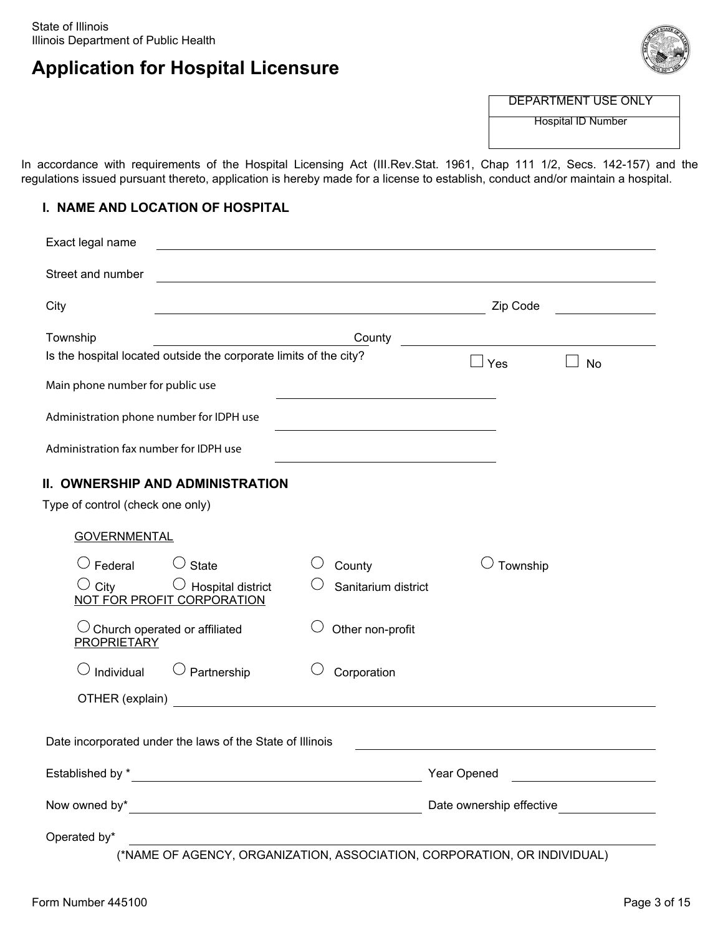

DEPARTMENT USE ONLY

Hospital ID Number

In accordance with requirements of the Hospital Licensing Act (III.Rev.Stat. 1961, Chap 111 1/2, Secs. 142-157) and the regulations issued pursuant thereto, application is hereby made for a license to establish, conduct and/or maintain a hospital.

#### **I. NAME AND LOCATION OF HOSPITAL**

| Exact legal name                                        |                                                                                                                     |                                                                                                                                                                                                                                |                                                                   |                                         |
|---------------------------------------------------------|---------------------------------------------------------------------------------------------------------------------|--------------------------------------------------------------------------------------------------------------------------------------------------------------------------------------------------------------------------------|-------------------------------------------------------------------|-----------------------------------------|
| Street and number                                       |                                                                                                                     |                                                                                                                                                                                                                                |                                                                   |                                         |
| City                                                    |                                                                                                                     | <u> 1980 - Johann Barbara, martxa alemaniar amerikan basar da a</u>                                                                                                                                                            | Zip Code                                                          |                                         |
| Township                                                | Is the hospital located outside the corporate limits of the city?                                                   | County                                                                                                                                                                                                                         | <u> 1989 - Andrea Station, amerikansk politik (</u><br>$\Box$ Yes | <b>No</b>                               |
| Main phone number for public use                        |                                                                                                                     | the control of the control of the control of the control of the control of                                                                                                                                                     |                                                                   |                                         |
| Administration phone number for IDPH use                |                                                                                                                     | the control of the control of the control of the control of the control of                                                                                                                                                     |                                                                   |                                         |
| Administration fax number for IDPH use                  |                                                                                                                     |                                                                                                                                                                                                                                |                                                                   |                                         |
| Type of control (check one only)<br><b>GOVERNMENTAL</b> | II. OWNERSHIP AND ADMINISTRATION                                                                                    |                                                                                                                                                                                                                                |                                                                   |                                         |
| $\cup$ Federal<br>$\cup$ City                           | $\cup$ State<br>$\bigcirc$ Hospital district<br>NOT FOR PROFIT CORPORATION                                          | County<br>Sanitarium district                                                                                                                                                                                                  | Township                                                          |                                         |
| <b>PROPRIETARY</b>                                      | Church operated or affiliated                                                                                       | Other non-profit                                                                                                                                                                                                               |                                                                   |                                         |
| $\bigcirc$ Individual                                   | $\bigcirc$ Partnership                                                                                              | Corporation                                                                                                                                                                                                                    |                                                                   |                                         |
|                                                         |                                                                                                                     | OTHER (explain) and the contract of the contract of the contract of the contract of the contract of the contract of the contract of the contract of the contract of the contract of the contract of the contract of the contra |                                                                   |                                         |
|                                                         | Date incorporated under the laws of the State of Illinois                                                           |                                                                                                                                                                                                                                |                                                                   |                                         |
|                                                         |                                                                                                                     |                                                                                                                                                                                                                                | Year Opened                                                       | <u> 1980 - Johann Barbara, martin d</u> |
| Now owned by*                                           | <u> 1989 - Johann Barn, mars eta bainar eta baina eta baina eta baina eta baina eta baina eta baina eta baina e</u> |                                                                                                                                                                                                                                |                                                                   |                                         |
| Operated by*                                            | <u> 1989 - Johann Stoff, Amerikaansk politiker († 1908)</u>                                                         |                                                                                                                                                                                                                                |                                                                   |                                         |

(\*NAME OF AGENCY, ORGANIZATION, ASSOCIATION, CORPORATION, OR INDIVIDUAL)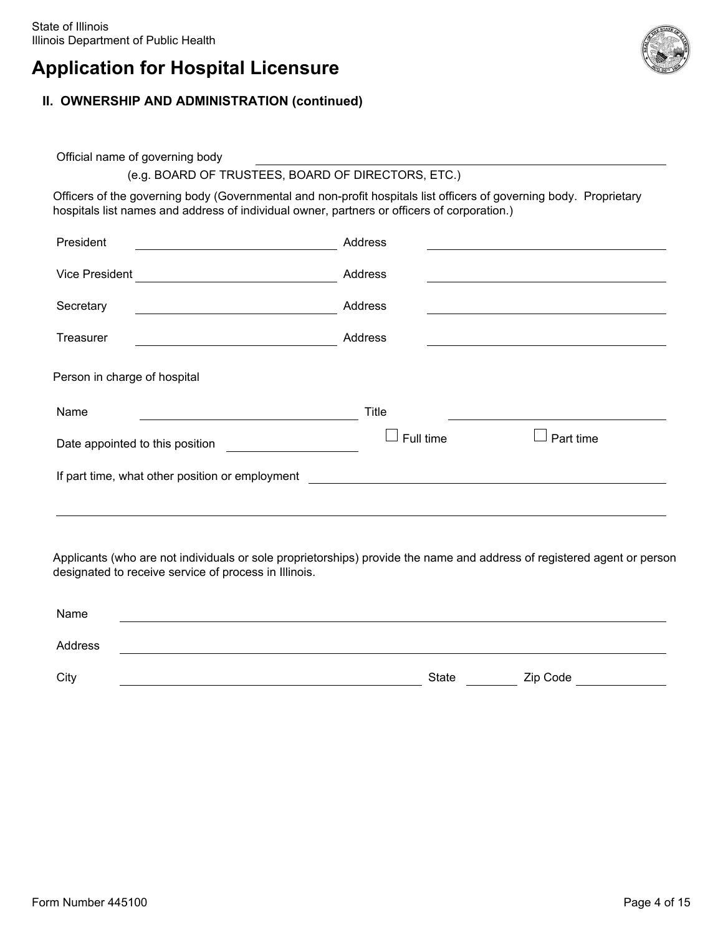### **II. OWNERSHIP AND ADMINISTRATION (continued)**

Official name of governing body

### (e.g. BOARD OF TRUSTEES, BOARD OF DIRECTORS, ETC.)

Officers of the governing body (Governmental and non-profit hospitals list officers of governing body. Proprietary hospitals list names and address of individual owner, partners or officers of corporation.)

| President                                       | Address      |           |
|-------------------------------------------------|--------------|-----------|
| Vice President                                  | Address      |           |
| Secretary                                       | Address      |           |
| Treasurer                                       | Address      |           |
| Person in charge of hospital                    |              |           |
| Name                                            | <b>Title</b> |           |
| Date appointed to this position                 | Full time    | Part time |
| If part time, what other position or employment |              |           |
|                                                 |              |           |

Applicants (who are not individuals or sole proprietorships) provide the name and address of registered agent or person designated to receive service of process in Illinois.

| Name    |       |          |
|---------|-------|----------|
| Address |       |          |
| City    | State | Zip Code |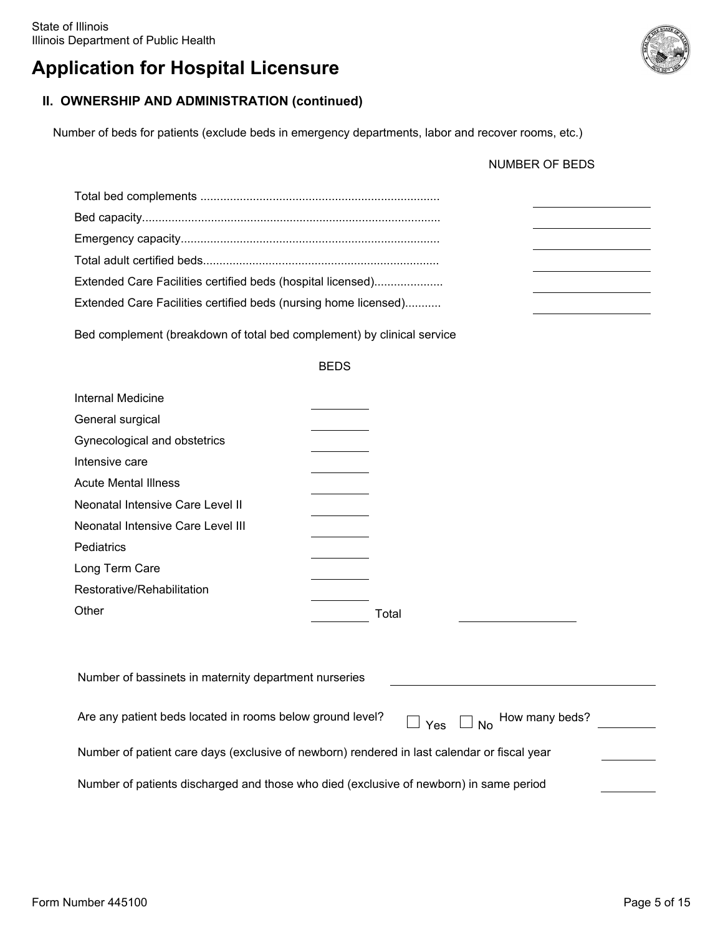### **II. OWNERSHIP AND ADMINISTRATION (continued)**

Number of beds for patients (exclude beds in emergency departments, labor and recover rooms, etc.)

| Extended Care Facilities certified beds (hospital licensed)     |  |
|-----------------------------------------------------------------|--|
| Extended Care Facilities certified beds (nursing home licensed) |  |
|                                                                 |  |

Bed complement (breakdown of total bed complement) by clinical service

|                                   | <b>BEDS</b> |
|-----------------------------------|-------------|
| Internal Medicine                 |             |
| General surgical                  |             |
| Gynecological and obstetrics      |             |
| Intensive care                    |             |
| <b>Acute Mental Illness</b>       |             |
| Neonatal Intensive Care Level II  |             |
| Neonatal Intensive Care Level III |             |
| Pediatrics                        |             |
| Long Term Care                    |             |
| Restorative/Rehabilitation        |             |
| Other                             | Total       |
|                                   |             |

| Number of bassinets in maternity department nurseries                                            |  |
|--------------------------------------------------------------------------------------------------|--|
| Are any patient beds located in rooms below ground level?<br>$\Box$ Yes $\Box$ No How many beds? |  |
| Number of patient care days (exclusive of newborn) rendered in last calendar or fiscal year      |  |
| Number of patients discharged and those who died (exclusive of newborn) in same period           |  |

NUMBER OF BEDS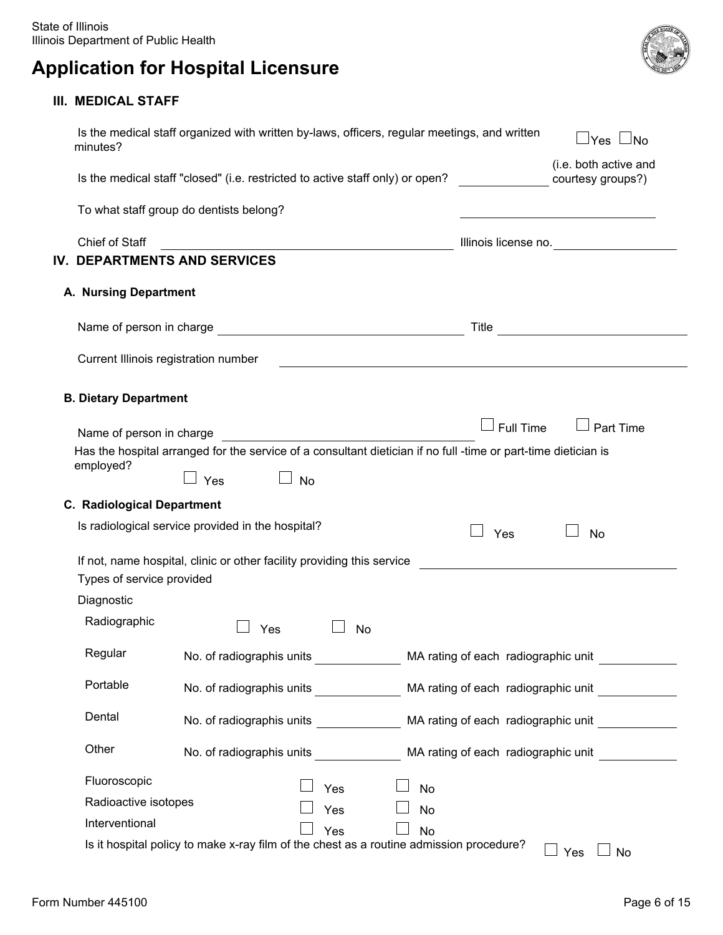### **III. MEDICAL STAFF**

| minutes?                             | Is the medical staff organized with written by-laws, officers, regular meetings, and written                                                        |                                     | $\sqcup$ Yes $\sqcup$ No                          |
|--------------------------------------|-----------------------------------------------------------------------------------------------------------------------------------------------------|-------------------------------------|---------------------------------------------------|
|                                      | Is the medical staff "closed" (i.e. restricted to active staff only) or open?                                                                       |                                     | (i.e. both active and<br>courtesy groups?)        |
|                                      | To what staff group do dentists belong?                                                                                                             |                                     |                                                   |
| Chief of Staff                       |                                                                                                                                                     |                                     | Illinois license no.                              |
| IV. DEPARTMENTS AND SERVICES         |                                                                                                                                                     |                                     |                                                   |
| A. Nursing Department                |                                                                                                                                                     |                                     |                                                   |
|                                      |                                                                                                                                                     |                                     |                                                   |
| Current Illinois registration number | <u> 1989 - Johann Barn, mars and de Brasilian (b. 1989)</u>                                                                                         |                                     |                                                   |
| <b>B. Dietary Department</b>         |                                                                                                                                                     |                                     |                                                   |
|                                      |                                                                                                                                                     | $\Box$ Full Time                    | $\Box$ Part Time                                  |
| Name of person in charge             |                                                                                                                                                     |                                     |                                                   |
| employed?                            | Has the hospital arranged for the service of a consultant dietician if no full -time or part-time dietician is<br>$\Box$ Yes<br>$\Box$<br><b>No</b> |                                     |                                                   |
| <b>C. Radiological Department</b>    |                                                                                                                                                     |                                     |                                                   |
|                                      | Is radiological service provided in the hospital?                                                                                                   | Yes                                 | <b>No</b>                                         |
| Types of service provided            | If not, name hospital, clinic or other facility providing this service                                                                              |                                     |                                                   |
| Diagnostic                           |                                                                                                                                                     |                                     |                                                   |
| Radiographic                         | Yes<br>No                                                                                                                                           |                                     |                                                   |
| Regular                              | No. of radiographis units                                                                                                                           | MA rating of each radiographic unit |                                                   |
| Portable                             | No. of radiographis units <b>Example 20</b> MA rating of each radiographic unit                                                                     |                                     |                                                   |
| Dental                               | No. of radiographis units ______________                                                                                                            |                                     | MA rating of each radiographic unit _____________ |
| Other                                |                                                                                                                                                     |                                     |                                                   |
| Fluoroscopic                         |                                                                                                                                                     |                                     |                                                   |
| Radioactive isotopes                 | Yes<br>No                                                                                                                                           |                                     |                                                   |
| Interventional                       | Yes<br>No                                                                                                                                           |                                     |                                                   |
|                                      | Yes<br><b>No</b>                                                                                                                                    |                                     |                                                   |

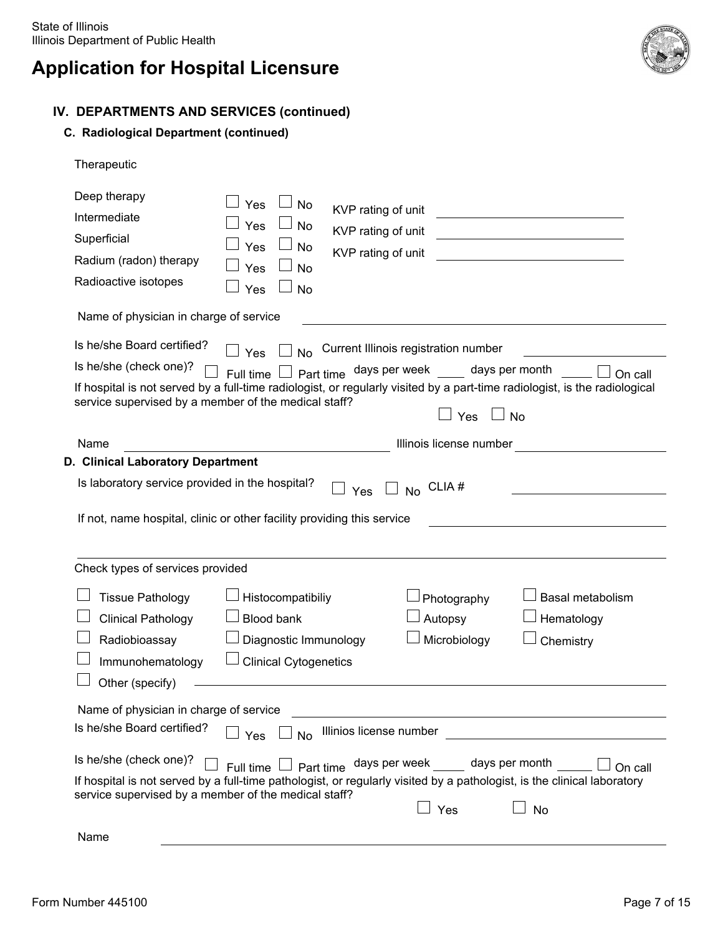

### **IV. DEPARTMENTS AND SERVICES (continued)**

#### **C. Radiological Department (continued)**

| Therapeutic                                                                                                                                                                                               |                                                                                          |                                                                                     |                                        |                                                                                                                                                    |
|-----------------------------------------------------------------------------------------------------------------------------------------------------------------------------------------------------------|------------------------------------------------------------------------------------------|-------------------------------------------------------------------------------------|----------------------------------------|----------------------------------------------------------------------------------------------------------------------------------------------------|
| Deep therapy<br>Intermediate<br>Superficial<br>Radium (radon) therapy<br>Radioactive isotopes<br>Name of physician in charge of service                                                                   | Yes<br>No<br>Yes<br>No<br>Yes<br>No<br>Yes<br><b>No</b><br>Yes<br><b>No</b>              | KVP rating of unit<br>KVP rating of unit<br>KVP rating of unit                      |                                        | <u> 1989 - Johann Barn, mars eta bainar eta bainar eta baina eta baina eta baina eta baina eta baina eta baina e</u>                               |
|                                                                                                                                                                                                           |                                                                                          |                                                                                     |                                        |                                                                                                                                                    |
| Is he/she Board certified?<br>Is he/she (check one)?<br>service supervised by a member of the medical staff?                                                                                              | <b>No</b><br>Yes<br>Full time                                                            | Current Illinois registration number<br>Part time days per week ____ days per month | $\sqcup$ Yes                           | On call<br>If hospital is not served by a full-time radiologist, or regularly visited by a part-time radiologist, is the radiological<br><b>No</b> |
| Name                                                                                                                                                                                                      |                                                                                          |                                                                                     | Illinois license number                |                                                                                                                                                    |
| D. Clinical Laboratory Department                                                                                                                                                                         |                                                                                          |                                                                                     |                                        |                                                                                                                                                    |
| Is laboratory service provided in the hospital?<br>If not, name hospital, clinic or other facility providing this service                                                                                 |                                                                                          | <b>Yes</b>                                                                          | $\vert$ No CLIA#                       |                                                                                                                                                    |
| Check types of services provided                                                                                                                                                                          |                                                                                          |                                                                                     |                                        |                                                                                                                                                    |
| <b>Tissue Pathology</b><br><b>Clinical Pathology</b><br>Radiobioassay<br>Immunohematology<br>Other (specify)                                                                                              | Histocompatibiliy<br>Blood bank<br>Diagnostic Immunology<br><b>Clinical Cytogenetics</b> |                                                                                     | Photography<br>Autopsy<br>Microbiology | Basal metabolism<br>Hematology<br>Chemistry                                                                                                        |
| Name of physician in charge of service                                                                                                                                                                    |                                                                                          |                                                                                     |                                        |                                                                                                                                                    |
| Is he/she Board certified?                                                                                                                                                                                | Yes<br><b>No</b>                                                                         | Illinios license number                                                             |                                        |                                                                                                                                                    |
| Is he/she (check one)?<br>If hospital is not served by a full-time pathologist, or regularly visited by a pathologist, is the clinical laboratory<br>service supervised by a member of the medical staff? | Full time I                                                                              | $\Box$ Part time days per week _____ days per month                                 | Yes                                    | On call<br>No                                                                                                                                      |
| Name                                                                                                                                                                                                      |                                                                                          |                                                                                     |                                        |                                                                                                                                                    |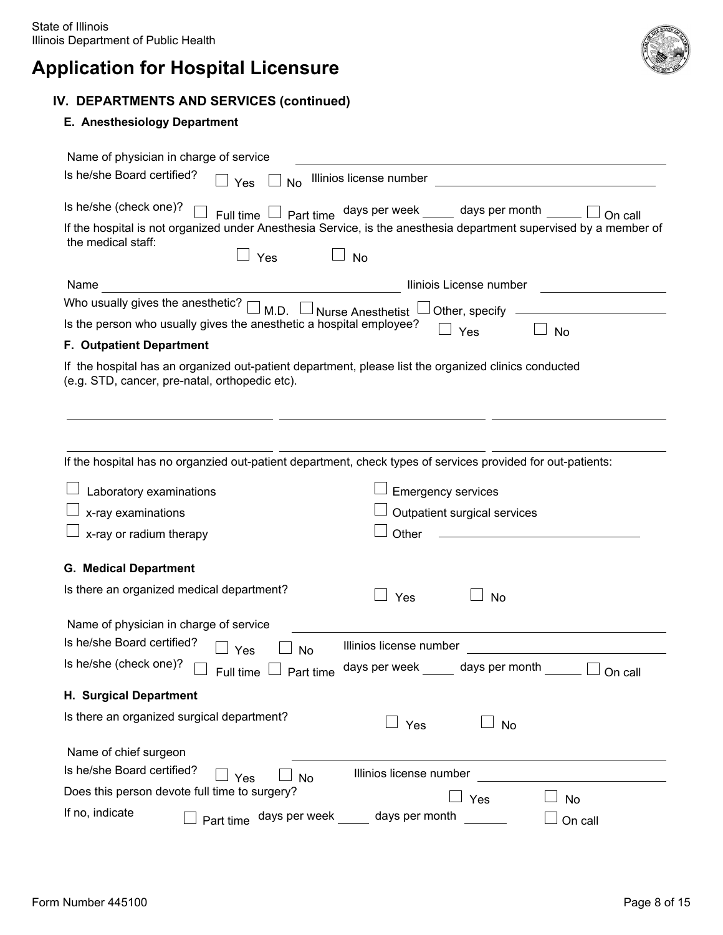

### **IV. DEPARTMENTS AND SERVICES (continued)**

#### **E. Anesthesiology Department**

| Name of physician in charge of service |                                                                     |                                                                                                                   |
|----------------------------------------|---------------------------------------------------------------------|-------------------------------------------------------------------------------------------------------------------|
| Is he/she Board certified?             | Yes<br><b>No</b>                                                    | Illinios license number                                                                                           |
| Is he/she (check one)?                 | Full time $\mathsf{l}$                                              | Part time days per week _____ days per month<br>On call                                                           |
|                                        |                                                                     | If the hospital is not organized under Anesthesia Service, is the anesthesia department supervised by a member of |
| the medical staff:                     |                                                                     |                                                                                                                   |
|                                        | Yes                                                                 | $\Box$ No                                                                                                         |
| Name                                   |                                                                     | Iliniois License number                                                                                           |
| Who usually gives the anesthetic?      | M D.                                                                | Nurse Anesthetist □ Other, specify                                                                                |
|                                        | Is the person who usually gives the anesthetic a hospital employee? | Yes<br><b>No</b>                                                                                                  |
| <b>F. Outpatient Department</b>        |                                                                     |                                                                                                                   |
|                                        | (e.g. STD, cancer, pre-natal, orthopedic etc).                      | If the hospital has an organized out-patient department, please list the organized clinics conducted              |
|                                        |                                                                     | If the hospital has no organzied out-patient department, check types of services provided for out-patients:       |
| Laboratory examinations                |                                                                     | <b>Emergency services</b>                                                                                         |
| x-ray examinations                     |                                                                     | Outpatient surgical services                                                                                      |
| x-ray or radium therapy                |                                                                     | Other                                                                                                             |
| <b>G. Medical Department</b>           |                                                                     |                                                                                                                   |
|                                        | Is there an organized medical department?                           | Yes<br><b>No</b>                                                                                                  |
| Name of physician in charge of service |                                                                     |                                                                                                                   |
| Is he/she Board certified?             | Yes<br><b>No</b>                                                    | Illinios license number                                                                                           |
| Is he/she (check one)?                 | Full time<br>Part time                                              | days per week<br>days per month<br>On call                                                                        |
| H. Surgical Department                 |                                                                     |                                                                                                                   |
|                                        | Is there an organized surgical department?                          | $\sqcup$ Yes<br>$\Box$ No                                                                                         |
| Name of chief surgeon                  |                                                                     |                                                                                                                   |
| Is he/she Board certified?             | Yes<br><b>No</b>                                                    | Illinios license number                                                                                           |
|                                        | Does this person devote full time to surgery?                       | Yes<br><b>No</b>                                                                                                  |
| If no, indicate                        | Part time days per week                                             | days per month<br>On call                                                                                         |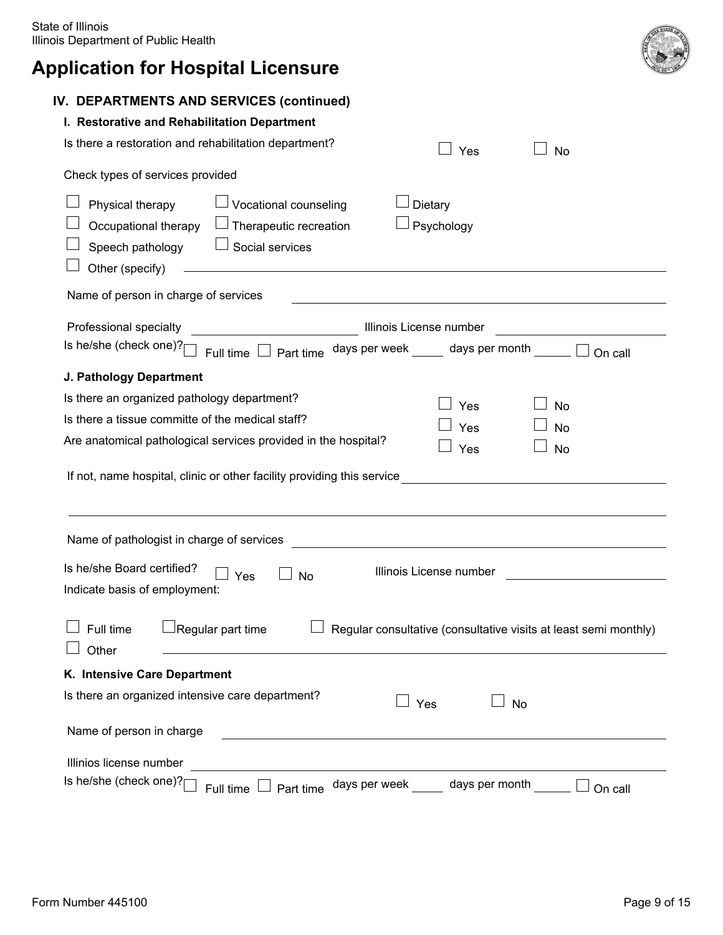| IV. DEPARTMENTS AND SERVICES (continued)                                                                                                                                                                                                                                    |
|-----------------------------------------------------------------------------------------------------------------------------------------------------------------------------------------------------------------------------------------------------------------------------|
| I. Restorative and Rehabilitation Department                                                                                                                                                                                                                                |
| Is there a restoration and rehabilitation department?<br>Yes<br><b>No</b>                                                                                                                                                                                                   |
| Check types of services provided                                                                                                                                                                                                                                            |
| Vocational counseling<br>Physical therapy<br>Dietary<br>Occupational therapy<br>Therapeutic recreation<br>Psychology<br>Social services<br>Speech pathology<br>Other (specify)<br>the control of the control of the control of the control of the control of the control of |
| Name of person in charge of services                                                                                                                                                                                                                                        |
| Professional specialty<br>Illinois License number<br>Is he/she (check one)?[<br>Full time $\Box$ Part time days per week _____ days per month _____<br>On call                                                                                                              |
| J. Pathology Department                                                                                                                                                                                                                                                     |
| Is there an organized pathology department?<br>Yes<br><b>No</b>                                                                                                                                                                                                             |
| Is there a tissue committe of the medical staff?<br>Yes<br>No                                                                                                                                                                                                               |
| Are anatomical pathological services provided in the hospital?<br>Yes<br>No                                                                                                                                                                                                 |
| If not, name hospital, clinic or other facility providing this service                                                                                                                                                                                                      |
| Name of pathologist in charge of services<br><u> 1989 - Johann Barbara, martin amerikan basal da</u>                                                                                                                                                                        |
| Is he/she Board certified?<br>Illinois License number<br><b>No</b><br>Yes<br>Indicate basis of employment:                                                                                                                                                                  |
| Regular part time<br>Full time<br>Regular consultative (consultative visits at least semi monthly)<br>Other                                                                                                                                                                 |
| K. Intensive Care Department                                                                                                                                                                                                                                                |
| Is there an organized intensive care department?<br>Yes<br><b>No</b>                                                                                                                                                                                                        |
| Name of person in charge                                                                                                                                                                                                                                                    |
| Illinios license number                                                                                                                                                                                                                                                     |
| Is he/she (check one)?<br>days per week days per month<br>Part time<br>Full time<br>On call                                                                                                                                                                                 |

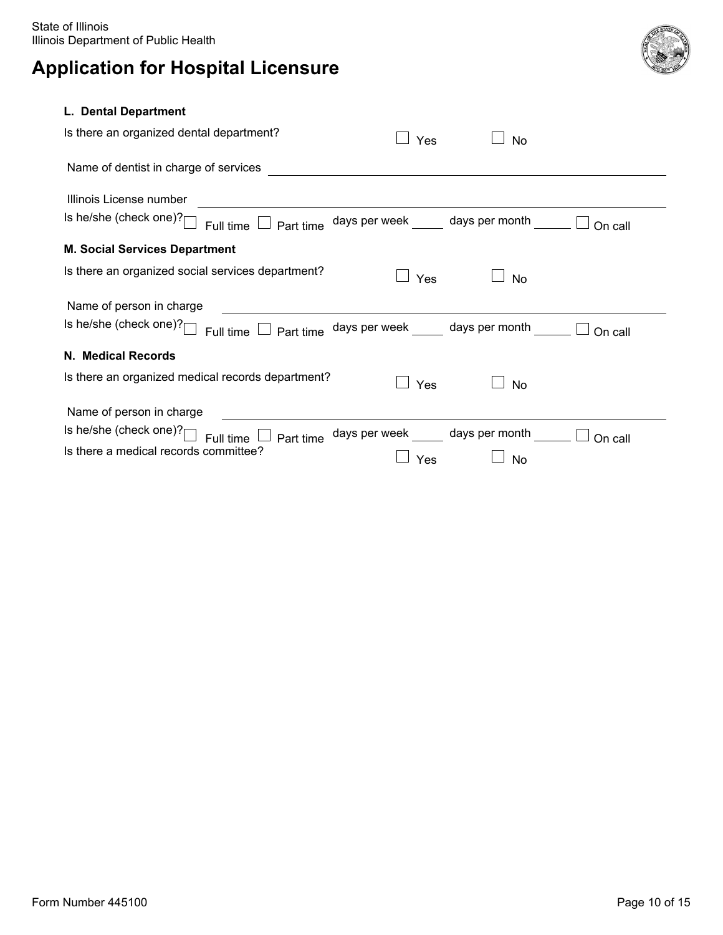

#### **L. Dental Department**

| Is there an organized dental department?                                                                | Yes                          | <b>No</b>                      |         |
|---------------------------------------------------------------------------------------------------------|------------------------------|--------------------------------|---------|
| Name of dentist in charge of services                                                                   |                              |                                |         |
| Illinois License number                                                                                 |                              |                                |         |
| Is he/she (check one)? $\lceil$<br>Full time $\Box$ Part time days per week $\Box$ days per month       |                              |                                | On call |
| <b>M. Social Services Department</b>                                                                    |                              |                                |         |
| Is there an organized social services department?                                                       | <b>Yes</b>                   | <b>No</b>                      |         |
| Name of person in charge                                                                                |                              |                                |         |
| Is he/she (check one)? $\vert$<br>Full time $\Box$ Part time days per week $\Box$ days per month $\Box$ |                              |                                | On call |
| N. Medical Records                                                                                      |                              |                                |         |
| Is there an organized medical records department?                                                       | Yes                          | $\vert \ \ \vert$<br><b>No</b> |         |
| Name of person in charge                                                                                |                              |                                |         |
| Is he/she (check one)? $\Box$<br>Full time $\sqrt{ }$<br>Part time                                      | days per week days per month |                                | On call |
| Is there a medical records committee?                                                                   | Yes                          | No                             |         |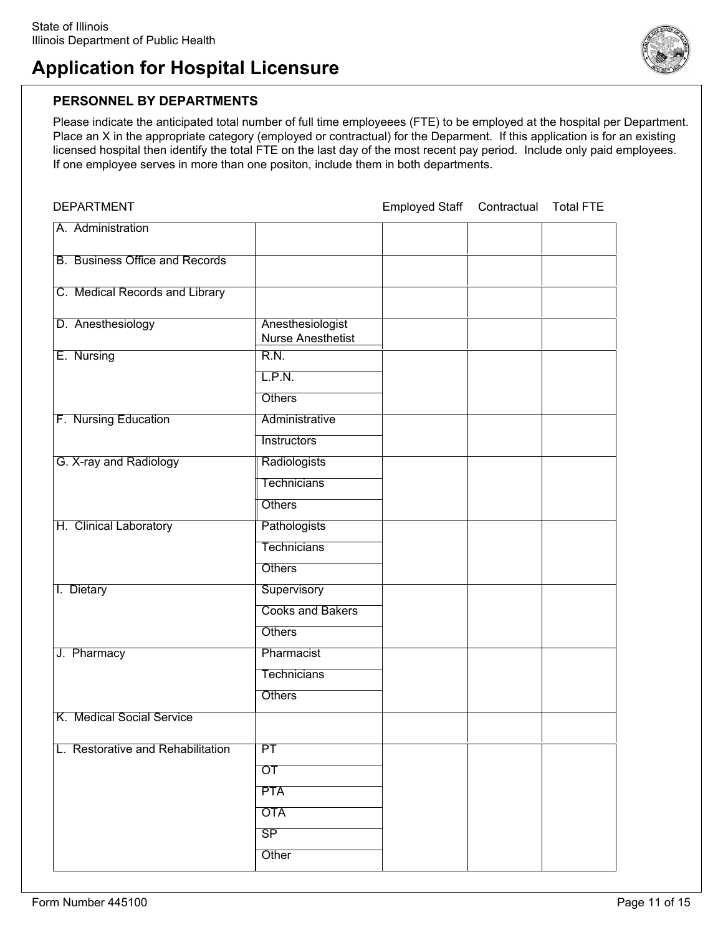

#### **PERSONNEL BY DEPARTMENTS**

Please indicate the anticipated total number of full time employeees (FTE) to be employed at the hospital per Department. Place an X in the appropriate category (employed or contractual) for the Deparment. If this application is for an existing licensed hospital then identify the total FTE on the last day of the most recent pay period. Include only paid employees. If one employee serves in more than one positon, include them in both departments.

| <b>DEPARTMENT</b>                     |                                              | <b>Employed Staff</b> | Contractual | <b>Total FTE</b> |
|---------------------------------------|----------------------------------------------|-----------------------|-------------|------------------|
| A. Administration                     |                                              |                       |             |                  |
| <b>B.</b> Business Office and Records |                                              |                       |             |                  |
| C. Medical Records and Library        |                                              |                       |             |                  |
| D. Anesthesiology                     | Anesthesiologist<br><b>Nurse Anesthetist</b> |                       |             |                  |
| E. Nursing                            | R.N.                                         |                       |             |                  |
|                                       | L.P.N.                                       |                       |             |                  |
|                                       | Others                                       |                       |             |                  |
| F. Nursing Education                  | Administrative                               |                       |             |                  |
|                                       | Instructors                                  |                       |             |                  |
| G. X-ray and Radiology                | Radiologists                                 |                       |             |                  |
|                                       | <b>Technicians</b>                           |                       |             |                  |
|                                       | <b>Others</b>                                |                       |             |                  |
| H. Clinical Laboratory                | <b>Pathologists</b>                          |                       |             |                  |
|                                       | <b>Technicians</b>                           |                       |             |                  |
|                                       | Others                                       |                       |             |                  |
| I. Dietary                            | Supervisory                                  |                       |             |                  |
|                                       | <b>Cooks and Bakers</b>                      |                       |             |                  |
|                                       | <b>Others</b>                                |                       |             |                  |
| J. Pharmacy                           | Pharmacist                                   |                       |             |                  |
|                                       | <b>Technicians</b>                           |                       |             |                  |
|                                       | <b>Others</b>                                |                       |             |                  |
| K. Medical Social Service             |                                              |                       |             |                  |
|                                       |                                              |                       |             |                  |
| L. Restorative and Rehabilitation     | PT                                           |                       |             |                  |
|                                       | $\overline{or}$                              |                       |             |                  |
|                                       | <b>PTA</b>                                   |                       |             |                  |
|                                       | <b>OTA</b>                                   |                       |             |                  |
|                                       | SP                                           |                       |             |                  |
|                                       | Other                                        |                       |             |                  |
|                                       |                                              |                       |             |                  |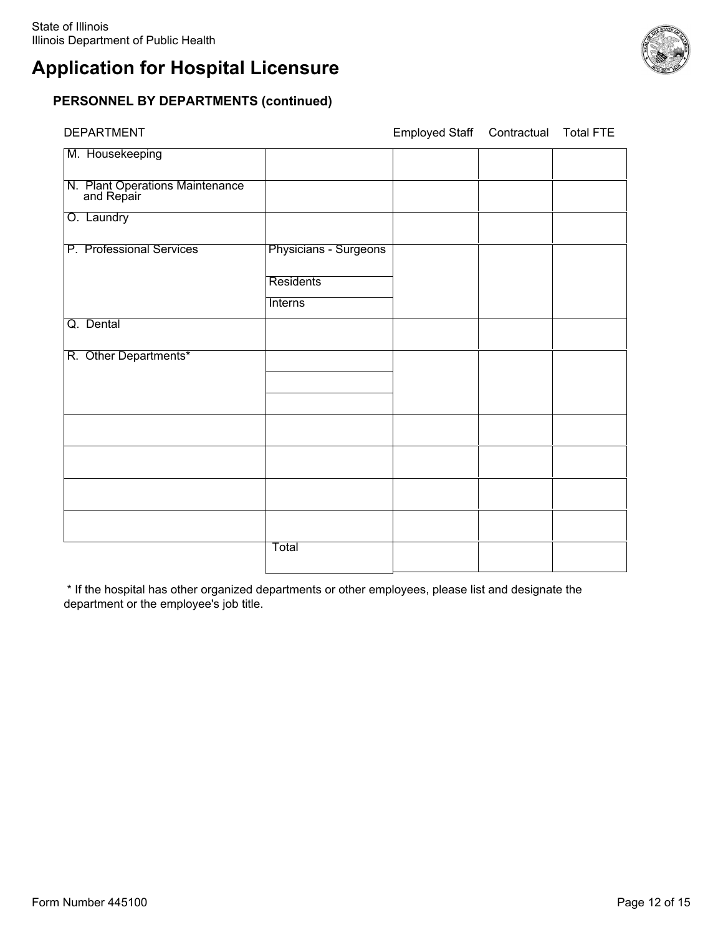### **PERSONNEL BY DEPARTMENTS (continued)**

| DEPARTMENT                                    |                       | Employed Staff | Contractual | <b>Total FTE</b> |
|-----------------------------------------------|-----------------------|----------------|-------------|------------------|
| M. Housekeeping                               |                       |                |             |                  |
| N. Plant Operations Maintenance<br>and Repair |                       |                |             |                  |
| O. Laundry                                    |                       |                |             |                  |
| P. Professional Services                      | Physicians - Surgeons |                |             |                  |
|                                               | <b>Residents</b>      |                |             |                  |
|                                               | <b>Interns</b>        |                |             |                  |
| Q. Dental                                     |                       |                |             |                  |
| R. Other Departments*                         |                       |                |             |                  |
|                                               |                       |                |             |                  |
|                                               |                       |                |             |                  |
|                                               |                       |                |             |                  |
|                                               |                       |                |             |                  |
|                                               |                       |                |             |                  |
|                                               | Total                 |                |             |                  |

 \* If the hospital has other organized departments or other employees, please list and designate the department or the employee's job title.

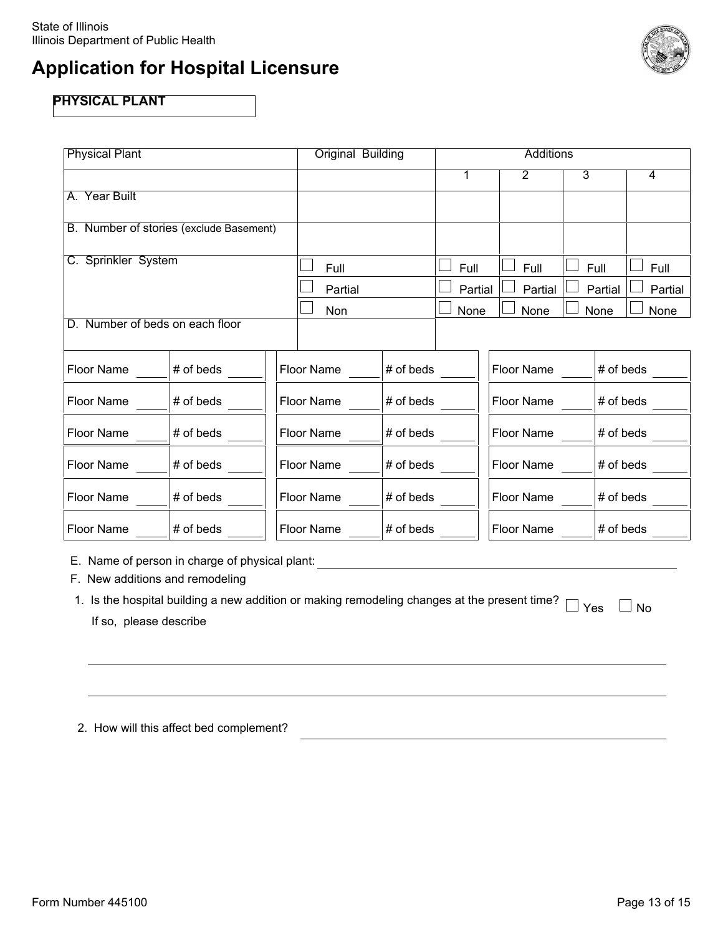

### **PHYSICAL PLANT**

| <b>Physical Plant</b>           |                                         | Original Building |           | <b>Additions</b> |                       |                |         |
|---------------------------------|-----------------------------------------|-------------------|-----------|------------------|-----------------------|----------------|---------|
|                                 |                                         |                   |           | 1                | $\mathbf{2}^{\prime}$ | $\overline{3}$ | 4       |
| A. Year Built                   |                                         |                   |           |                  |                       |                |         |
|                                 | B. Number of stories (exclude Basement) |                   |           |                  |                       |                |         |
| C. Sprinkler System             |                                         | Full              |           | Full             | Full                  | Full           | Full    |
|                                 |                                         | Partial           |           | Partial          | Partial               | Partial        | Partial |
|                                 |                                         | Non               |           | None             | None                  | None           | None    |
| D. Number of beds on each floor |                                         |                   |           |                  |                       |                |         |
| Floor Name                      | # of beds                               | Floor Name        | # of beds |                  | Floor Name            | # of beds      |         |
| Floor Name                      | # of beds                               | Floor Name        | # of beds |                  | Floor Name            | # of beds      |         |
| Floor Name                      | # of beds                               | Floor Name        | # of beds |                  | Floor Name            | # of beds      |         |
| Floor Name                      | # of beds                               | Floor Name        | # of beds |                  | Floor Name            | # of beds      |         |
| Floor Name                      | # of beds                               | Floor Name        | # of beds |                  | Floor Name            | # of beds      |         |
| Floor Name                      | # of beds                               | Floor Name        | # of beds |                  | Floor Name            | # of beds      |         |

E. Name of person in charge of physical plant:

F. New additions and remodeling

1. Is the hospital building a new addition or making remodeling changes at the present time?  $\Box$  Yes  $\Box$  No If so, please describe

|  |  |  |  | 2. How will this affect bed complement? |
|--|--|--|--|-----------------------------------------|
|--|--|--|--|-----------------------------------------|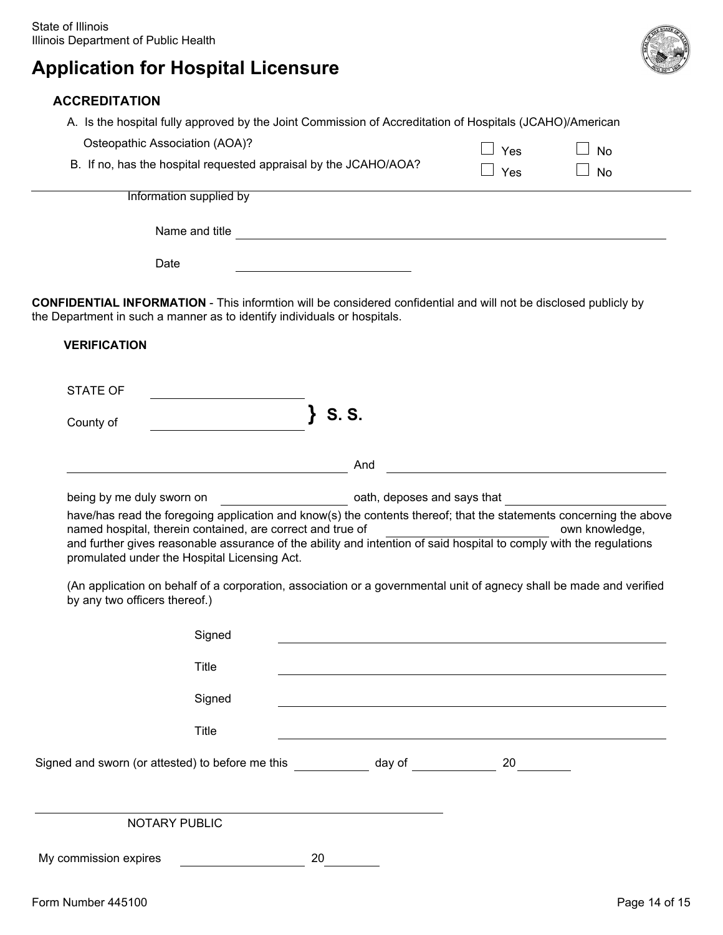#### **ACCREDITATION**

 A. Is the hospital fully approved by the Joint Commission of Accreditation of Hospitals (JCAHO)/American  $\Box$  Yes  $\Box$  No. Osteopathic Association (AOA)?

|                                                                  | - 150      | $\sim$ $\sim$ $\sim$ $\sim$ $\sim$ |  |
|------------------------------------------------------------------|------------|------------------------------------|--|
| B. If no, has the hospital requested appraisal by the JCAHO/AOA? | $\Box$ Yes | $\Box$ No                          |  |

Information supplied by

Name and title

Date

**CONFIDENTIAL INFORMATION** - This informtion will be considered confidential and will not be disclosed publicly by the Department in such a manner as to identify individuals or hospitals.

#### **VERIFICATION**

STATE OF

County of **} S. S.** 

And

being by me duly sworn on **being** by me duly sworn on

 have/has read the foregoing application and know(s) the contents thereof; that the statements concerning the above named hospital, therein contained, are correct and true of own who will be own knowledge, and further gives reasonable assurance of the ability and intention of said hospital to comply with the regulations promulated under the Hospital Licensing Act.

 (An application on behalf of a corporation, association or a governmental unit of agnecy shall be made and verified by any two officers thereof.)

| Signed                                           |    |        |    |               |
|--------------------------------------------------|----|--------|----|---------------|
| Title                                            |    |        |    |               |
| Signed                                           |    |        |    |               |
| Title                                            |    |        |    |               |
| Signed and sworn (or attested) to before me this |    | day of | 20 |               |
| NOTARY PUBLIC                                    |    |        |    |               |
| My commission expires                            | 20 |        |    |               |
| Form Number 445100                               |    |        |    | Page 14 of 15 |